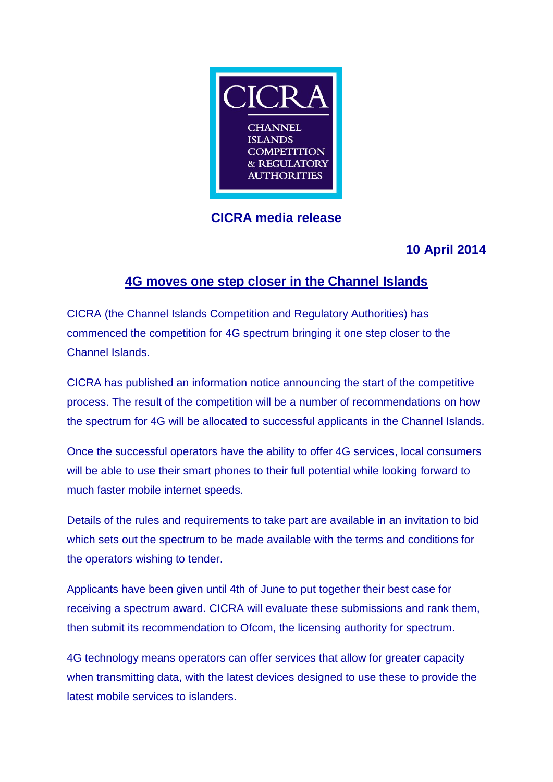

# **CICRA media release**

# **10 April 2014**

# **4G moves one step closer in the Channel Islands**

CICRA (the Channel Islands Competition and Regulatory Authorities) has commenced the competition for 4G spectrum bringing it one step closer to the Channel Islands.

CICRA has published an information notice announcing the start of the competitive process. The result of the competition will be a number of recommendations on how the spectrum for 4G will be allocated to successful applicants in the Channel Islands.

Once the successful operators have the ability to offer 4G services, local consumers will be able to use their smart phones to their full potential while looking forward to much faster mobile internet speeds.

Details of the rules and requirements to take part are available in an invitation to bid which sets out the spectrum to be made available with the terms and conditions for the operators wishing to tender.

Applicants have been given until 4th of June to put together their best case for receiving a spectrum award. CICRA will evaluate these submissions and rank them, then submit its recommendation to Ofcom, the licensing authority for spectrum.

4G technology means operators can offer services that allow for greater capacity when transmitting data, with the latest devices designed to use these to provide the latest mobile services to islanders.